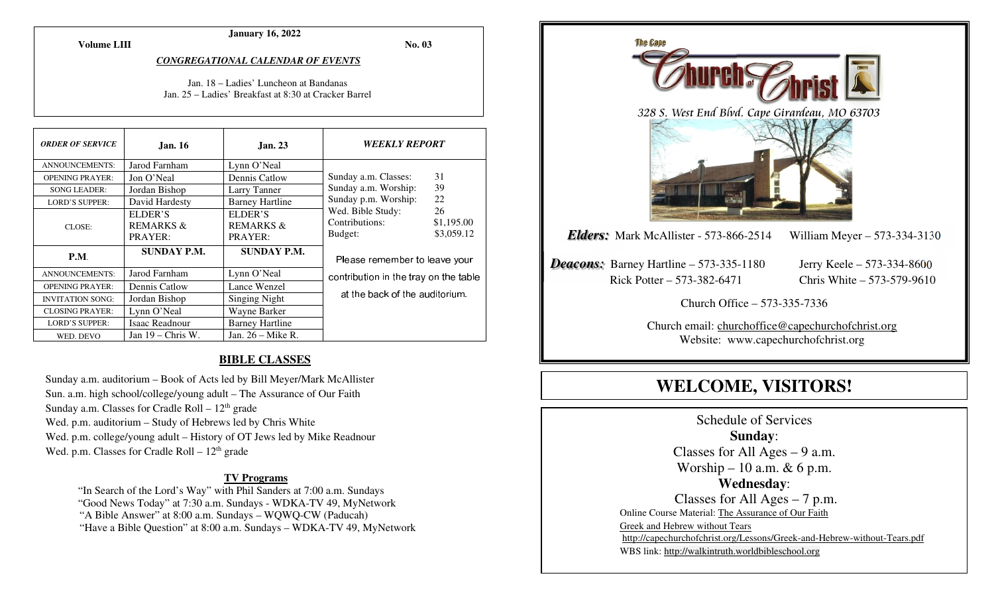**Volume LIII**

#### **January 16, 2022**

**No. 03** 

#### *CONGREGATIONAL CALENDAR OF EVENTS*

Jan. 18 – Ladies' Luncheon at Bandanas Jan. 25 – Ladies' Breakfast at 8:30 at Cracker Barrel

| <b>ORDER OF SERVICE</b> | <b>Jan. 16</b>                             | <b>Jan. 23</b>                             | <b>WEEKLY REPORT</b>                                                                                                                         |    |
|-------------------------|--------------------------------------------|--------------------------------------------|----------------------------------------------------------------------------------------------------------------------------------------------|----|
| <b>ANNOUNCEMENTS:</b>   | Jarod Farnham                              | Lynn O'Neal                                |                                                                                                                                              |    |
| <b>OPENING PRAYER:</b>  | Jon O'Neal                                 | Dennis Catlow                              | Sunday a.m. Classes:                                                                                                                         | 31 |
| <b>SONG LEADER:</b>     | Jordan Bishop                              | Larry Tanner                               | 39<br>Sunday a.m. Worship:<br>22<br>Sunday p.m. Worship:<br>26<br>Wed. Bible Study:<br>Contributions:<br>\$1,195.00<br>\$3,059.12<br>Budget: |    |
| <b>LORD'S SUPPER:</b>   | David Hardesty                             | <b>Barney Hartline</b>                     |                                                                                                                                              |    |
| CLOSE:                  | ELDER'S<br><b>REMARKS &amp;</b><br>PRAYER: | ELDER'S<br><b>REMARKS &amp;</b><br>PRAYER: |                                                                                                                                              |    |
| P.M.                    | <b>SUNDAY P.M.</b>                         | <b>SUNDAY P.M.</b>                         | Please remember to leave your<br>contribution in the tray on the table                                                                       |    |
| <b>ANNOUNCEMENTS:</b>   | Jarod Farnham                              | Lynn O'Neal                                |                                                                                                                                              |    |
| <b>OPENING PRAYER:</b>  | Dennis Catlow                              | Lance Wenzel                               |                                                                                                                                              |    |
| <b>INVITATION SONG:</b> | Jordan Bishop                              | Singing Night                              | at the back of the auditorium.                                                                                                               |    |
| <b>CLOSING PRAYER:</b>  | Lynn O'Neal                                | Wayne Barker                               |                                                                                                                                              |    |
| <b>LORD'S SUPPER:</b>   | Isaac Readnour                             | <b>Barney Hartline</b>                     |                                                                                                                                              |    |
| WED. DEVO               | Jan $19$ – Chris W.                        | Jan. $26 -$ Mike R.                        |                                                                                                                                              |    |

#### **BIBLE CLASSES**

Sunday a.m. auditorium – Book of Acts led by Bill Meyer/Mark McAllister Sun. a.m. high school/college/young adult – The Assurance of Our Faith Sunday a.m. Classes for Cradle Roll  $-12<sup>th</sup>$  grade Wed. p.m. auditorium – Study of Hebrews led by Chris White Wed. p.m. college/young adult – History of OT Jews led by Mike Readnour Wed. p.m. Classes for Cradle Roll  $-12<sup>th</sup>$  grade

#### **TV Programs**

 "In Search of the Lord's Way" with Phil Sanders at 7:00 a.m. Sundays "Good News Today" at 7:30 a.m. Sundays - WDKA-TV 49, MyNetwork "A Bible Answer" at 8:00 a.m. Sundays – WQWQ-CW (Paducah) "Have a Bible Question" at 8:00 a.m. Sundays – WDKA-TV 49, MyNetwork



# **WELCOME, VISITORS!**

Schedule of Services **Sunday**: Classes for All Ages  $-9$  a.m. Worship – 10 a.m.  $& 6$  p.m. **Wednesday**: Classes for All Ages – 7 p.m. Online Course Material: The Assurance of Our Faith Greek and Hebrew without Tears http://capechurchofchrist.org/Lessons/Greek-and-Hebrew-without-Tears.pdfWBS link: http://walkintruth.worldbibleschool.org